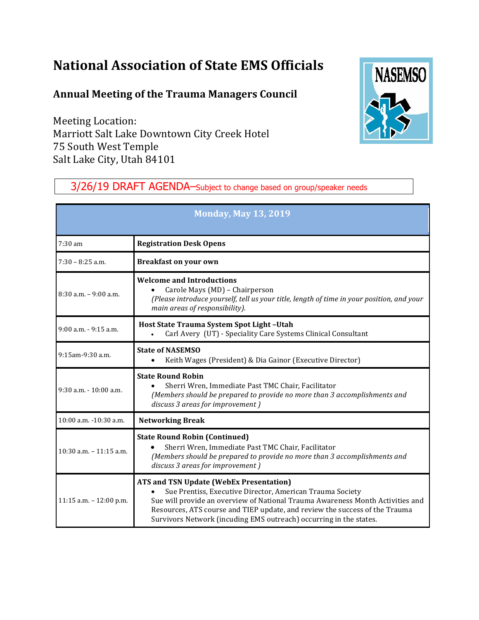# **National Association of State EMS Officials**

## **Annual Meeting of the Trauma Managers Council**

Meeting Location: Marriott Salt Lake Downtown City Creek Hotel 75 South West Temple Salt Lake City, Utah 84101



## 3/26/19 DRAFT AGENDA–Subject to change based on group/speaker needs

| <b>Monday, May 13, 2019</b> |                                                                                                                                                                                                                                                                                                                                                    |  |
|-----------------------------|----------------------------------------------------------------------------------------------------------------------------------------------------------------------------------------------------------------------------------------------------------------------------------------------------------------------------------------------------|--|
| $7:30$ am                   | <b>Registration Desk Opens</b>                                                                                                                                                                                                                                                                                                                     |  |
| $7:30 - 8:25$ a.m.          | <b>Breakfast on your own</b>                                                                                                                                                                                                                                                                                                                       |  |
| $8:30$ a.m. $-9:00$ a.m.    | <b>Welcome and Introductions</b><br>Carole Mays (MD) - Chairperson<br>(Please introduce yourself, tell us your title, length of time in your position, and your<br>main areas of responsibility).                                                                                                                                                  |  |
| 9:00 a.m. - 9:15 a.m.       | Host State Trauma System Spot Light-Utah<br>Carl Avery (UT) - Speciality Care Systems Clinical Consultant                                                                                                                                                                                                                                          |  |
| 9:15am-9:30 a.m.            | <b>State of NASEMSO</b><br>Keith Wages (President) & Dia Gainor (Executive Director)<br>$\bullet$                                                                                                                                                                                                                                                  |  |
| $9:30$ a.m. $-10:00$ a.m.   | <b>State Round Robin</b><br>Sherri Wren, Immediate Past TMC Chair, Facilitator<br>(Members should be prepared to provide no more than 3 accomplishments and<br>discuss 3 areas for improvement)                                                                                                                                                    |  |
| 10:00 a.m. -10:30 a.m.      | <b>Networking Break</b>                                                                                                                                                                                                                                                                                                                            |  |
| $10:30$ a.m. $-11:15$ a.m.  | <b>State Round Robin (Continued)</b><br>Sherri Wren, Immediate Past TMC Chair, Facilitator<br>(Members should be prepared to provide no more than 3 accomplishments and<br>discuss 3 areas for improvement)                                                                                                                                        |  |
| 11:15 a.m. $- 12:00$ p.m.   | <b>ATS and TSN Update (WebEx Presentation)</b><br>Sue Prentiss, Executive Director, American Trauma Society<br>Sue will provide an overview of National Trauma Awareness Month Activities and<br>Resources, ATS course and TIEP update, and review the success of the Trauma<br>Survivors Network (incuding EMS outreach) occurring in the states. |  |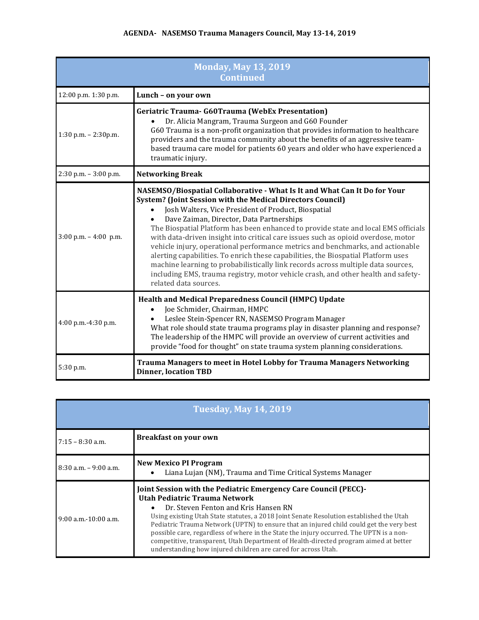### **AGENDA- NASEMSO Trauma Managers Council, May 13-14, 2019**

| <b>Monday, May 13, 2019</b><br><b>Continued</b> |                                                                                                                                                                                                                                                                                                                                                                                                                                                                                                                                                                                                                                                                                                                                                                                                       |  |
|-------------------------------------------------|-------------------------------------------------------------------------------------------------------------------------------------------------------------------------------------------------------------------------------------------------------------------------------------------------------------------------------------------------------------------------------------------------------------------------------------------------------------------------------------------------------------------------------------------------------------------------------------------------------------------------------------------------------------------------------------------------------------------------------------------------------------------------------------------------------|--|
| 12:00 p.m. 1:30 p.m.                            | Lunch - on your own                                                                                                                                                                                                                                                                                                                                                                                                                                                                                                                                                                                                                                                                                                                                                                                   |  |
| 1:30 p.m. $- 2:30$ p.m.                         | <b>Geriatric Trauma- G60Trauma (WebEx Presentation)</b><br>Dr. Alicia Mangram, Trauma Surgeon and G60 Founder<br>G60 Trauma is a non-profit organization that provides information to healthcare<br>providers and the trauma community about the benefits of an aggressive team-<br>based trauma care model for patients 60 years and older who have experienced a<br>traumatic injury.                                                                                                                                                                                                                                                                                                                                                                                                               |  |
| 2:30 p.m. - 3:00 p.m.                           | <b>Networking Break</b>                                                                                                                                                                                                                                                                                                                                                                                                                                                                                                                                                                                                                                                                                                                                                                               |  |
| $3:00$ p.m. $-4:00$ p.m.                        | NASEMSO/Biospatial Collaborative - What Is It and What Can It Do for Your<br><b>System? (Joint Session with the Medical Directors Council)</b><br>Josh Walters, Vice President of Product, Biospatial<br>Dave Zaiman, Director, Data Partnerships<br>The Biospatial Platform has been enhanced to provide state and local EMS officials<br>with data-driven insight into critical care issues such as opioid overdose, motor<br>vehicle injury, operational performance metrics and benchmarks, and actionable<br>alerting capabilities. To enrich these capabilities, the Biospatial Platform uses<br>machine learning to probabilistically link records across multiple data sources,<br>including EMS, trauma registry, motor vehicle crash, and other health and safety-<br>related data sources. |  |
| $4:00$ p.m.- $4:30$ p.m.                        | Health and Medical Preparedness Council (HMPC) Update<br>Joe Schmider, Chairman, HMPC<br>Leslee Stein-Spencer RN, NASEMSO Program Manager<br>What role should state trauma programs play in disaster planning and response?<br>The leadership of the HMPC will provide an overview of current activities and<br>provide "food for thought" on state trauma system planning considerations.                                                                                                                                                                                                                                                                                                                                                                                                            |  |
| 5:30 p.m.                                       | Trauma Managers to meet in Hotel Lobby for Trauma Managers Networking<br><b>Dinner, location TBD</b>                                                                                                                                                                                                                                                                                                                                                                                                                                                                                                                                                                                                                                                                                                  |  |

| <b>Tuesday, May 14, 2019</b> |                                                                                                                                                                                                                                                                                                                                                                                                                                                                                                                                                                                                 |  |
|------------------------------|-------------------------------------------------------------------------------------------------------------------------------------------------------------------------------------------------------------------------------------------------------------------------------------------------------------------------------------------------------------------------------------------------------------------------------------------------------------------------------------------------------------------------------------------------------------------------------------------------|--|
| $7:15 - 8:30$ a.m.           | <b>Breakfast on your own</b>                                                                                                                                                                                                                                                                                                                                                                                                                                                                                                                                                                    |  |
| $8:30$ a.m. $-9:00$ a.m.     | <b>New Mexico PI Program</b><br>Liana Lujan (NM), Trauma and Time Critical Systems Manager<br>$\bullet$                                                                                                                                                                                                                                                                                                                                                                                                                                                                                         |  |
| $9:00$ a.m. $-10:00$ a.m.    | Joint Session with the Pediatric Emergency Care Council (PECC)-<br>Utah Pediatric Trauma Network<br>Dr. Steven Fenton and Kris Hansen RN<br>$\bullet$<br>Using existing Utah State statutes, a 2018 Joint Senate Resolution established the Utah<br>Pediatric Trauma Network (UPTN) to ensure that an injured child could get the very best<br>possible care, regardless of where in the State the injury occurred. The UPTN is a non-<br>competitive, transparent, Utah Department of Health-directed program aimed at better<br>understanding how injured children are cared for across Utah. |  |